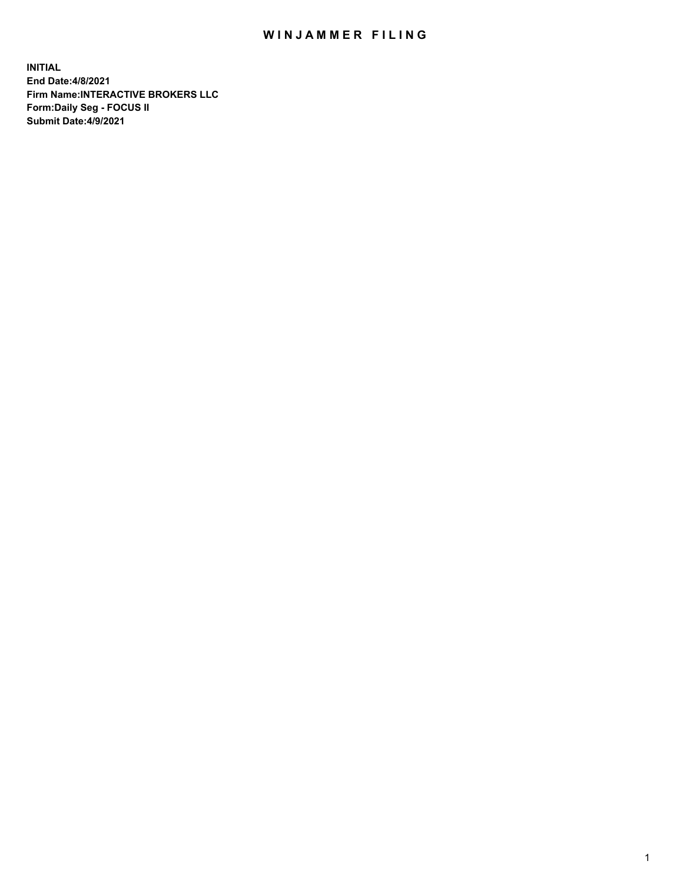## WIN JAMMER FILING

**INITIAL End Date:4/8/2021 Firm Name:INTERACTIVE BROKERS LLC Form:Daily Seg - FOCUS II Submit Date:4/9/2021**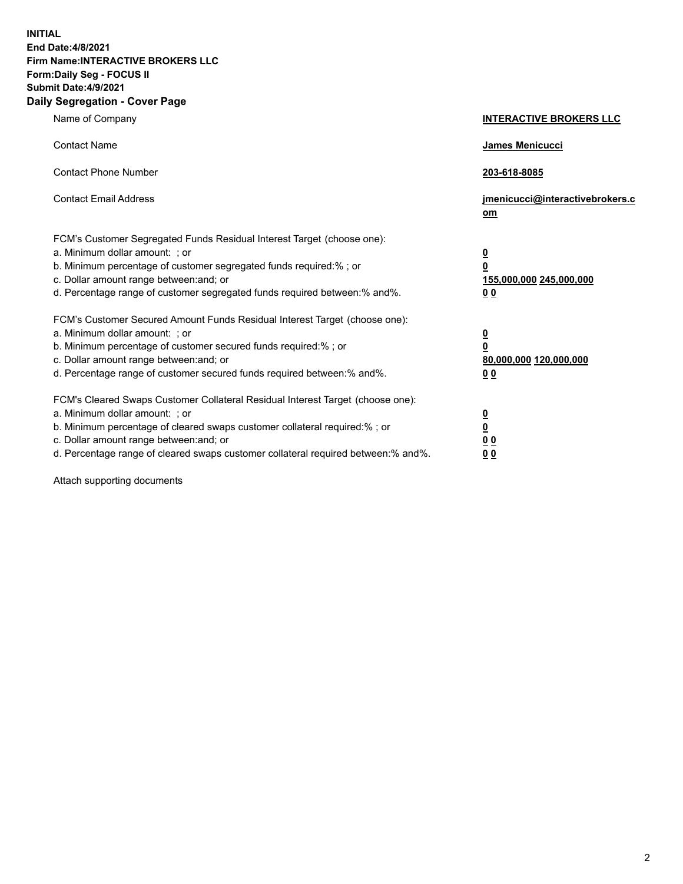**INITIAL End Date:4/8/2021 Firm Name:INTERACTIVE BROKERS LLC Form:Daily Seg - FOCUS II Submit Date:4/9/2021 Daily Segregation - Cover Page**

| Name of Company                                                                                                                                                                                                                                                                                                                | <b>INTERACTIVE BROKERS LLC</b>                                                                  |
|--------------------------------------------------------------------------------------------------------------------------------------------------------------------------------------------------------------------------------------------------------------------------------------------------------------------------------|-------------------------------------------------------------------------------------------------|
| <b>Contact Name</b>                                                                                                                                                                                                                                                                                                            | <b>James Menicucci</b>                                                                          |
| <b>Contact Phone Number</b>                                                                                                                                                                                                                                                                                                    | 203-618-8085                                                                                    |
| <b>Contact Email Address</b>                                                                                                                                                                                                                                                                                                   | jmenicucci@interactivebrokers.c<br>om                                                           |
| FCM's Customer Segregated Funds Residual Interest Target (choose one):<br>a. Minimum dollar amount: ; or<br>b. Minimum percentage of customer segregated funds required:%; or<br>c. Dollar amount range between: and; or<br>d. Percentage range of customer segregated funds required between:% and%.                          | $\overline{\mathbf{0}}$<br>$\overline{\mathbf{0}}$<br>155,000,000 245,000,000<br>0 <sub>0</sub> |
| FCM's Customer Secured Amount Funds Residual Interest Target (choose one):<br>a. Minimum dollar amount: ; or<br>b. Minimum percentage of customer secured funds required:%; or<br>c. Dollar amount range between: and; or<br>d. Percentage range of customer secured funds required between:% and%.                            | $\overline{\mathbf{0}}$<br>$\overline{\mathbf{0}}$<br>80,000,000 120,000,000<br>0 <sub>0</sub>  |
| FCM's Cleared Swaps Customer Collateral Residual Interest Target (choose one):<br>a. Minimum dollar amount: ; or<br>b. Minimum percentage of cleared swaps customer collateral required:% ; or<br>c. Dollar amount range between: and; or<br>d. Percentage range of cleared swaps customer collateral required between:% and%. | $\overline{\mathbf{0}}$<br>$\overline{\mathbf{0}}$<br>0 <sub>0</sub><br>0 <sub>0</sub>          |

Attach supporting documents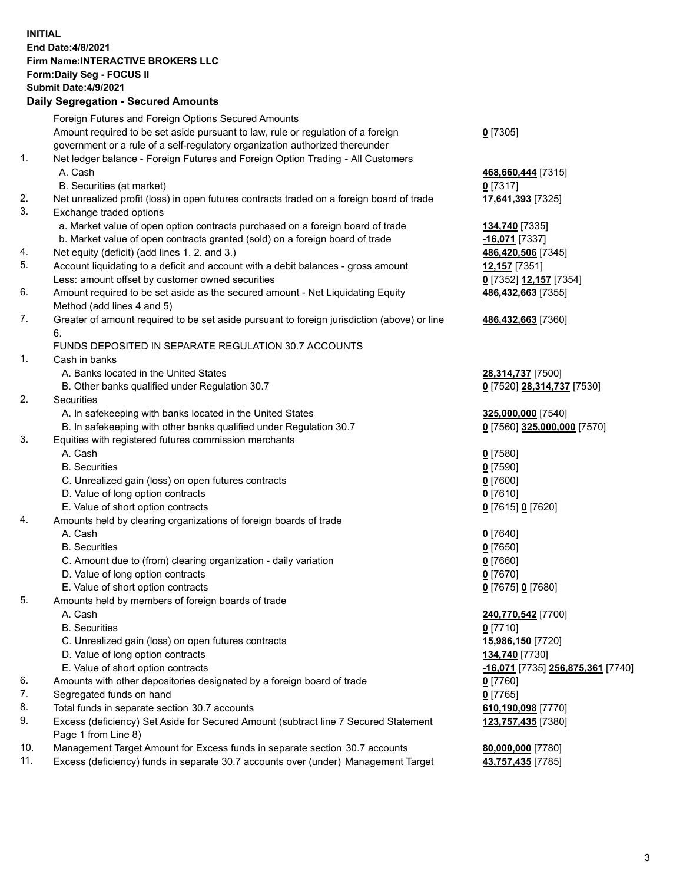## **INITIAL End Date:4/8/2021 Firm Name:INTERACTIVE BROKERS LLC Form:Daily Seg - FOCUS II Submit Date:4/9/2021 Daily Segregation - Secured Amounts**

|     | 2011, Ocgi ogation - Oceaned Anioania                                                                      |                                   |
|-----|------------------------------------------------------------------------------------------------------------|-----------------------------------|
|     | Foreign Futures and Foreign Options Secured Amounts                                                        |                                   |
|     | Amount required to be set aside pursuant to law, rule or regulation of a foreign                           | $0$ [7305]                        |
|     | government or a rule of a self-regulatory organization authorized thereunder                               |                                   |
| 1.  | Net ledger balance - Foreign Futures and Foreign Option Trading - All Customers                            |                                   |
|     | A. Cash                                                                                                    | 468,660,444 [7315]                |
|     | B. Securities (at market)                                                                                  | $0$ [7317]                        |
| 2.  | Net unrealized profit (loss) in open futures contracts traded on a foreign board of trade                  | 17,641,393 [7325]                 |
| 3.  | Exchange traded options                                                                                    |                                   |
|     | a. Market value of open option contracts purchased on a foreign board of trade                             | 134,740 [7335]                    |
|     | b. Market value of open contracts granted (sold) on a foreign board of trade                               | -16,071 [7337]                    |
| 4.  | Net equity (deficit) (add lines 1. 2. and 3.)                                                              | 486,420,506 [7345]                |
| 5.  | Account liquidating to a deficit and account with a debit balances - gross amount                          | 12,157 [7351]                     |
|     | Less: amount offset by customer owned securities                                                           | 0 [7352] 12,157 [7354]            |
| 6.  | Amount required to be set aside as the secured amount - Net Liquidating Equity                             | 486,432,663 [7355]                |
|     | Method (add lines 4 and 5)                                                                                 |                                   |
| 7.  | Greater of amount required to be set aside pursuant to foreign jurisdiction (above) or line                | 486,432,663 [7360]                |
|     | 6.                                                                                                         |                                   |
|     | FUNDS DEPOSITED IN SEPARATE REGULATION 30.7 ACCOUNTS                                                       |                                   |
| 1.  | Cash in banks                                                                                              |                                   |
|     | A. Banks located in the United States                                                                      | 28,314,737 [7500]                 |
|     | B. Other banks qualified under Regulation 30.7                                                             | 0 [7520] 28,314,737 [7530]        |
| 2.  | Securities                                                                                                 |                                   |
|     | A. In safekeeping with banks located in the United States                                                  | 325,000,000 [7540]                |
|     | B. In safekeeping with other banks qualified under Regulation 30.7                                         | 0 [7560] 325,000,000 [7570]       |
| 3.  | Equities with registered futures commission merchants                                                      |                                   |
|     | A. Cash                                                                                                    | $0$ [7580]                        |
|     | <b>B.</b> Securities                                                                                       | $0$ [7590]                        |
|     | C. Unrealized gain (loss) on open futures contracts                                                        | $0$ [7600]                        |
|     | D. Value of long option contracts                                                                          | $0$ [7610]                        |
|     | E. Value of short option contracts                                                                         | 0 [7615] 0 [7620]                 |
| 4.  | Amounts held by clearing organizations of foreign boards of trade                                          |                                   |
|     | A. Cash                                                                                                    | $0$ [7640]                        |
|     | <b>B.</b> Securities                                                                                       | $0$ [7650]                        |
|     | C. Amount due to (from) clearing organization - daily variation                                            | $0$ [7660]                        |
|     | D. Value of long option contracts                                                                          | $0$ [7670]                        |
|     | E. Value of short option contracts                                                                         | 0 [7675] 0 [7680]                 |
| 5.  | Amounts held by members of foreign boards of trade                                                         |                                   |
|     | A. Cash                                                                                                    | 240,770,542 [7700]                |
|     | <b>B.</b> Securities                                                                                       | $0$ [7710]                        |
|     | C. Unrealized gain (loss) on open futures contracts                                                        | 15,986,150 [7720]                 |
|     | D. Value of long option contracts                                                                          | 134,740 [7730]                    |
|     | E. Value of short option contracts                                                                         | -16,071 [7735] 256,875,361 [7740] |
| 6.  | Amounts with other depositories designated by a foreign board of trade                                     | $0$ [7760]                        |
| 7.  | Segregated funds on hand                                                                                   | $0$ [7765]                        |
| 8.  | Total funds in separate section 30.7 accounts                                                              | 610,190,098 [7770]                |
| 9.  | Excess (deficiency) Set Aside for Secured Amount (subtract line 7 Secured Statement<br>Page 1 from Line 8) | 123,757,435 [7380]                |
| 10. | Management Target Amount for Excess funds in separate section 30.7 accounts                                | 80,000,000 [7780]                 |
| 11. | Excess (deficiency) funds in separate 30.7 accounts over (under) Management Target                         | 43,757,435 [7785]                 |
|     |                                                                                                            |                                   |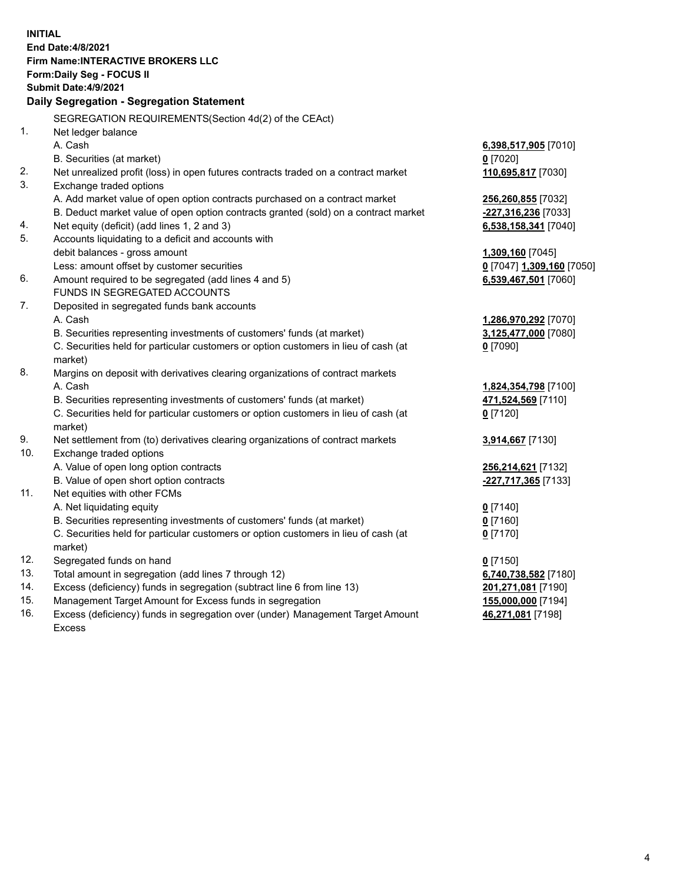**INITIAL End Date:4/8/2021 Firm Name:INTERACTIVE BROKERS LLC Form:Daily Seg - FOCUS II Submit Date:4/9/2021 Daily Segregation - Segregation Statement** SEGREGATION REQUIREMENTS(Section 4d(2) of the CEAct) 1. Net ledger balance A. Cash **6,398,517,905** [7010] B. Securities (at market) **0** [7020] 2. Net unrealized profit (loss) in open futures contracts traded on a contract market **110,695,817** [7030] 3. Exchange traded options A. Add market value of open option contracts purchased on a contract market **256,260,855** [7032] B. Deduct market value of open option contracts granted (sold) on a contract market **-227,316,236** [7033] 4. Net equity (deficit) (add lines 1, 2 and 3) **6,538,158,341** [7040] 5. Accounts liquidating to a deficit and accounts with debit balances - gross amount **1,309,160** [7045] Less: amount offset by customer securities **0** [7047] **1,309,160** [7050] 6. Amount required to be segregated (add lines 4 and 5) **6,539,467,501** [7060] FUNDS IN SEGREGATED ACCOUNTS 7. Deposited in segregated funds bank accounts A. Cash **1,286,970,292** [7070] B. Securities representing investments of customers' funds (at market) **3,125,477,000** [7080] C. Securities held for particular customers or option customers in lieu of cash (at market) **0** [7090] 8. Margins on deposit with derivatives clearing organizations of contract markets A. Cash **1,824,354,798** [7100] B. Securities representing investments of customers' funds (at market) **471,524,569** [7110] C. Securities held for particular customers or option customers in lieu of cash (at market) **0** [7120] 9. Net settlement from (to) derivatives clearing organizations of contract markets **3,914,667** [7130] 10. Exchange traded options A. Value of open long option contracts **256,214,621** [7132] B. Value of open short option contracts **-227,717,365** [7133] 11. Net equities with other FCMs A. Net liquidating equity **0** [7140] B. Securities representing investments of customers' funds (at market) **0** [7160] C. Securities held for particular customers or option customers in lieu of cash (at market) **0** [7170] 12. Segregated funds on hand **0** [7150] 13. Total amount in segregation (add lines 7 through 12) **6,740,738,582** [7180] 14. Excess (deficiency) funds in segregation (subtract line 6 from line 13) **201,271,081** [7190] 15. Management Target Amount for Excess funds in segregation **155,000,000** [7194] **46,271,081** [7198]

16. Excess (deficiency) funds in segregation over (under) Management Target Amount Excess